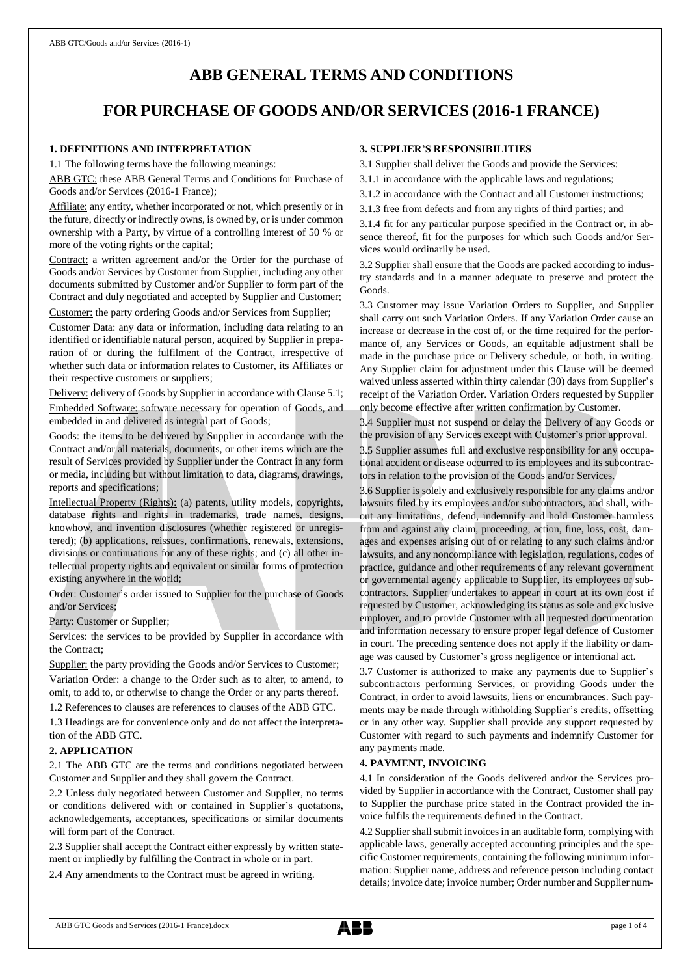# **ABB GENERAL TERMS AND CONDITIONS**

# **FOR PURCHASE OF GOODS AND/OR SERVICES (2016-1 FRANCE)**

### **1. DEFINITIONS AND INTERPRETATION**

1.1 The following terms have the following meanings:

ABB GTC: these ABB General Terms and Conditions for Purchase of Goods and/or Services (2016-1 France);

Affiliate: any entity, whether incorporated or not, which presently or in the future, directly or indirectly owns, is owned by, or is under common ownership with a Party, by virtue of a controlling interest of 50 % or more of the voting rights or the capital;

Contract: a written agreement and/or the Order for the purchase of Goods and/or Services by Customer from Supplier, including any other documents submitted by Customer and/or Supplier to form part of the Contract and duly negotiated and accepted by Supplier and Customer;

Customer: the party ordering Goods and/or Services from Supplier;

Customer Data: any data or information, including data relating to an identified or identifiable natural person, acquired by Supplier in preparation of or during the fulfilment of the Contract, irrespective of whether such data or information relates to Customer, its Affiliates or their respective customers or suppliers;

Delivery: delivery of Goods by Supplier in accordance with Clause 5.1; Embedded Software: software necessary for operation of Goods, and embedded in and delivered as integral part of Goods;

Goods: the items to be delivered by Supplier in accordance with the Contract and/or all materials, documents, or other items which are the result of Services provided by Supplier under the Contract in any form or media, including but without limitation to data, diagrams, drawings, reports and specifications;

Intellectual Property (Rights): (a) patents, utility models, copyrights, database rights and rights in trademarks, trade names, designs, knowhow, and invention disclosures (whether registered or unregistered); (b) applications, reissues, confirmations, renewals, extensions, divisions or continuations for any of these rights; and (c) all other intellectual property rights and equivalent or similar forms of protection existing anywhere in the world;

Order: Customer's order issued to Supplier for the purchase of Goods and/or Services;

Party: Customer or Supplier;

Services: the services to be provided by Supplier in accordance with the Contract;

Supplier: the party providing the Goods and/or Services to Customer; Variation Order: a change to the Order such as to alter, to amend, to omit, to add to, or otherwise to change the Order or any parts thereof. 1.2 References to clauses are references to clauses of the ABB GTC.

1.3 Headings are for convenience only and do not affect the interpreta-

# tion of the ABB GTC.

**2. APPLICATION**

2.1 The ABB GTC are the terms and conditions negotiated between Customer and Supplier and they shall govern the Contract.

2.2 Unless duly negotiated between Customer and Supplier, no terms or conditions delivered with or contained in Supplier's quotations, acknowledgements, acceptances, specifications or similar documents will form part of the Contract.

2.3 Supplier shall accept the Contract either expressly by written statement or impliedly by fulfilling the Contract in whole or in part.

2.4 Any amendments to the Contract must be agreed in writing.

### **3. SUPPLIER'S RESPONSIBILITIES**

3.1 Supplier shall deliver the Goods and provide the Services:

3.1.1 in accordance with the applicable laws and regulations;

- 3.1.2 in accordance with the Contract and all Customer instructions;
- 3.1.3 free from defects and from any rights of third parties; and

3.1.4 fit for any particular purpose specified in the Contract or, in absence thereof, fit for the purposes for which such Goods and/or Services would ordinarily be used.

3.2 Supplier shall ensure that the Goods are packed according to industry standards and in a manner adequate to preserve and protect the Goods.

3.3 Customer may issue Variation Orders to Supplier, and Supplier shall carry out such Variation Orders. If any Variation Order cause an increase or decrease in the cost of, or the time required for the performance of, any Services or Goods, an equitable adjustment shall be made in the purchase price or Delivery schedule, or both, in writing. Any Supplier claim for adjustment under this Clause will be deemed waived unless asserted within thirty calendar (30) days from Supplier's receipt of the Variation Order. Variation Orders requested by Supplier only become effective after written confirmation by Customer.

3.4 Supplier must not suspend or delay the Delivery of any Goods or the provision of any Services except with Customer's prior approval.

3.5 Supplier assumes full and exclusive responsibility for any occupational accident or disease occurred to its employees and its subcontractors in relation to the provision of the Goods and/or Services.

3.6 Supplier is solely and exclusively responsible for any claims and/or lawsuits filed by its employees and/or subcontractors, and shall, without any limitations, defend, indemnify and hold Customer harmless from and against any claim, proceeding, action, fine, loss, cost, damages and expenses arising out of or relating to any such claims and/or lawsuits, and any noncompliance with legislation, regulations, codes of practice, guidance and other requirements of any relevant government or governmental agency applicable to Supplier, its employees or subcontractors. Supplier undertakes to appear in court at its own cost if requested by Customer, acknowledging its status as sole and exclusive employer, and to provide Customer with all requested documentation and information necessary to ensure proper legal defence of Customer in court. The preceding sentence does not apply if the liability or damage was caused by Customer's gross negligence or intentional act.

3.7 Customer is authorized to make any payments due to Supplier's subcontractors performing Services, or providing Goods under the Contract, in order to avoid lawsuits, liens or encumbrances. Such payments may be made through withholding Supplier's credits, offsetting or in any other way. Supplier shall provide any support requested by Customer with regard to such payments and indemnify Customer for any payments made.

### **4. PAYMENT, INVOICING**

4.1 In consideration of the Goods delivered and/or the Services provided by Supplier in accordance with the Contract, Customer shall pay to Supplier the purchase price stated in the Contract provided the invoice fulfils the requirements defined in the Contract.

4.2 Supplier shall submit invoices in an auditable form, complying with applicable laws, generally accepted accounting principles and the specific Customer requirements, containing the following minimum information: Supplier name, address and reference person including contact details; invoice date; invoice number; Order number and Supplier num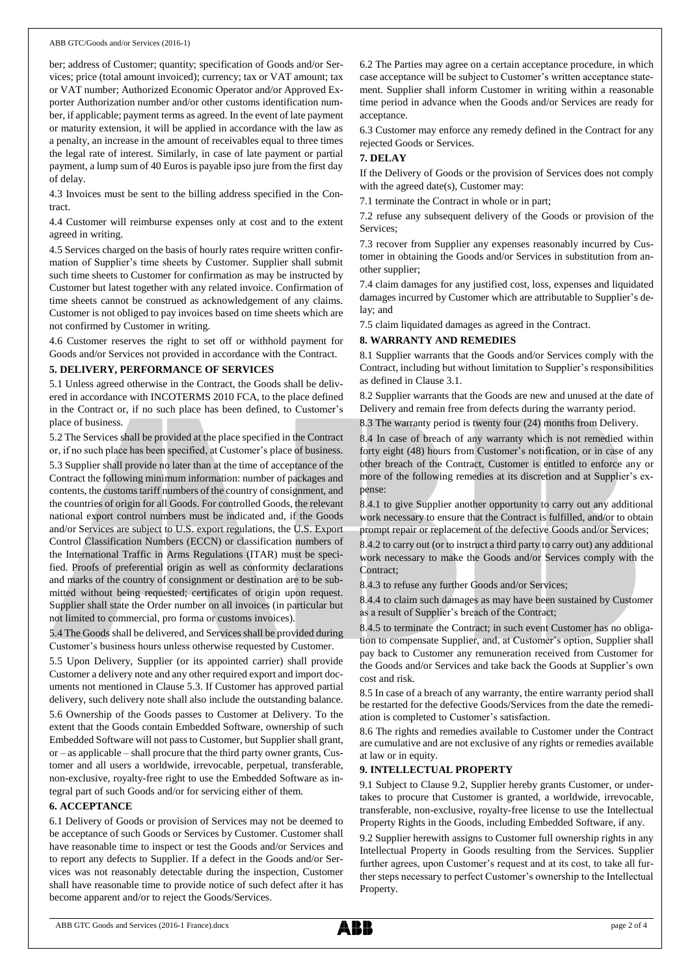ber; address of Customer; quantity; specification of Goods and/or Services; price (total amount invoiced); currency; tax or VAT amount; tax or VAT number; Authorized Economic Operator and/or Approved Exporter Authorization number and/or other customs identification number, if applicable; payment terms as agreed. In the event of late payment or maturity extension, it will be applied in accordance with the law as a penalty, an increase in the amount of receivables equal to three times the legal rate of interest. Similarly, in case of late payment or partial payment, a lump sum of 40 Euros is payable ipso jure from the first day of delay.

4.3 Invoices must be sent to the billing address specified in the Contract.

4.4 Customer will reimburse expenses only at cost and to the extent agreed in writing.

4.5 Services charged on the basis of hourly rates require written confirmation of Supplier's time sheets by Customer. Supplier shall submit such time sheets to Customer for confirmation as may be instructed by Customer but latest together with any related invoice. Confirmation of time sheets cannot be construed as acknowledgement of any claims. Customer is not obliged to pay invoices based on time sheets which are not confirmed by Customer in writing.

4.6 Customer reserves the right to set off or withhold payment for Goods and/or Services not provided in accordance with the Contract.

#### **5. DELIVERY, PERFORMANCE OF SERVICES**

5.1 Unless agreed otherwise in the Contract, the Goods shall be delivered in accordance with INCOTERMS 2010 FCA, to the place defined in the Contract or, if no such place has been defined, to Customer's place of business.

5.2 The Services shall be provided at the place specified in the Contract or, if no such place has been specified, at Customer's place of business. 5.3 Supplier shall provide no later than at the time of acceptance of the Contract the following minimum information: number of packages and contents, the customs tariff numbers of the country of consignment, and the countries of origin for all Goods. For controlled Goods, the relevant national export control numbers must be indicated and, if the Goods and/or Services are subject to U.S. export regulations, the U.S. Export Control Classification Numbers (ECCN) or classification numbers of the International Traffic in Arms Regulations (ITAR) must be specified. Proofs of preferential origin as well as conformity declarations

and marks of the country of consignment or destination are to be submitted without being requested; certificates of origin upon request. Supplier shall state the Order number on all invoices (in particular but not limited to commercial, pro forma or customs invoices).

5.4 The Goods shall be delivered, and Services shall be provided during Customer's business hours unless otherwise requested by Customer.

5.5 Upon Delivery, Supplier (or its appointed carrier) shall provide Customer a delivery note and any other required export and import documents not mentioned in Clause 5.3. If Customer has approved partial delivery, such delivery note shall also include the outstanding balance. 5.6 Ownership of the Goods passes to Customer at Delivery. To the extent that the Goods contain Embedded Software, ownership of such Embedded Software will not passto Customer, but Supplier shall grant, or – as applicable – shall procure that the third party owner grants, Customer and all users a worldwide, irrevocable, perpetual, transferable, non-exclusive, royalty-free right to use the Embedded Software as integral part of such Goods and/or for servicing either of them.

### **6. ACCEPTANCE**

6.1 Delivery of Goods or provision of Services may not be deemed to be acceptance of such Goods or Services by Customer. Customer shall have reasonable time to inspect or test the Goods and/or Services and to report any defects to Supplier. If a defect in the Goods and/or Services was not reasonably detectable during the inspection, Customer shall have reasonable time to provide notice of such defect after it has become apparent and/or to reject the Goods/Services.

6.2 The Parties may agree on a certain acceptance procedure, in which case acceptance will be subject to Customer's written acceptance statement. Supplier shall inform Customer in writing within a reasonable time period in advance when the Goods and/or Services are ready for acceptance.

6.3 Customer may enforce any remedy defined in the Contract for any rejected Goods or Services.

#### **7. DELAY**

If the Delivery of Goods or the provision of Services does not comply with the agreed date(s), Customer may:

7.1 terminate the Contract in whole or in part;

7.2 refuse any subsequent delivery of the Goods or provision of the Services;

7.3 recover from Supplier any expenses reasonably incurred by Customer in obtaining the Goods and/or Services in substitution from another supplier;

7.4 claim damages for any justified cost, loss, expenses and liquidated damages incurred by Customer which are attributable to Supplier's delay; and

7.5 claim liquidated damages as agreed in the Contract.

### **8. WARRANTY AND REMEDIES**

8.1 Supplier warrants that the Goods and/or Services comply with the Contract, including but without limitation to Supplier's responsibilities as defined in Clause 3.1.

8.2 Supplier warrants that the Goods are new and unused at the date of Delivery and remain free from defects during the warranty period.

8.3 The warranty period is twenty four (24) months from Delivery.

8.4 In case of breach of any warranty which is not remedied within forty eight (48) hours from Customer's notification, or in case of any other breach of the Contract, Customer is entitled to enforce any or more of the following remedies at its discretion and at Supplier's expense:

8.4.1 to give Supplier another opportunity to carry out any additional work necessary to ensure that the Contract is fulfilled, and/or to obtain prompt repair or replacement of the defective Goods and/or Services;

8.4.2 to carry out (or to instruct a third party to carry out) any additional work necessary to make the Goods and/or Services comply with the Contract<sup>®</sup>

8.4.3 to refuse any further Goods and/or Services;

8.4.4 to claim such damages as may have been sustained by Customer as a result of Supplier's breach of the Contract;

8.4.5 to terminate the Contract; in such event Customer has no obligation to compensate Supplier, and, at Customer's option, Supplier shall pay back to Customer any remuneration received from Customer for the Goods and/or Services and take back the Goods at Supplier's own cost and risk.

8.5 In case of a breach of any warranty, the entire warranty period shall be restarted for the defective Goods/Services from the date the remediation is completed to Customer's satisfaction.

8.6 The rights and remedies available to Customer under the Contract are cumulative and are not exclusive of any rights or remedies available at law or in equity.

### **9. INTELLECTUAL PROPERTY**

9.1 Subject to Clause 9.2, Supplier hereby grants Customer, or undertakes to procure that Customer is granted, a worldwide, irrevocable, transferable, non-exclusive, royalty-free license to use the Intellectual Property Rights in the Goods, including Embedded Software, if any.

9.2 Supplier herewith assigns to Customer full ownership rights in any Intellectual Property in Goods resulting from the Services. Supplier further agrees, upon Customer's request and at its cost, to take all further steps necessary to perfect Customer's ownership to the Intellectual Property.

ABB GTC Goods and Services (2016-1 France).docx page 2 of 4

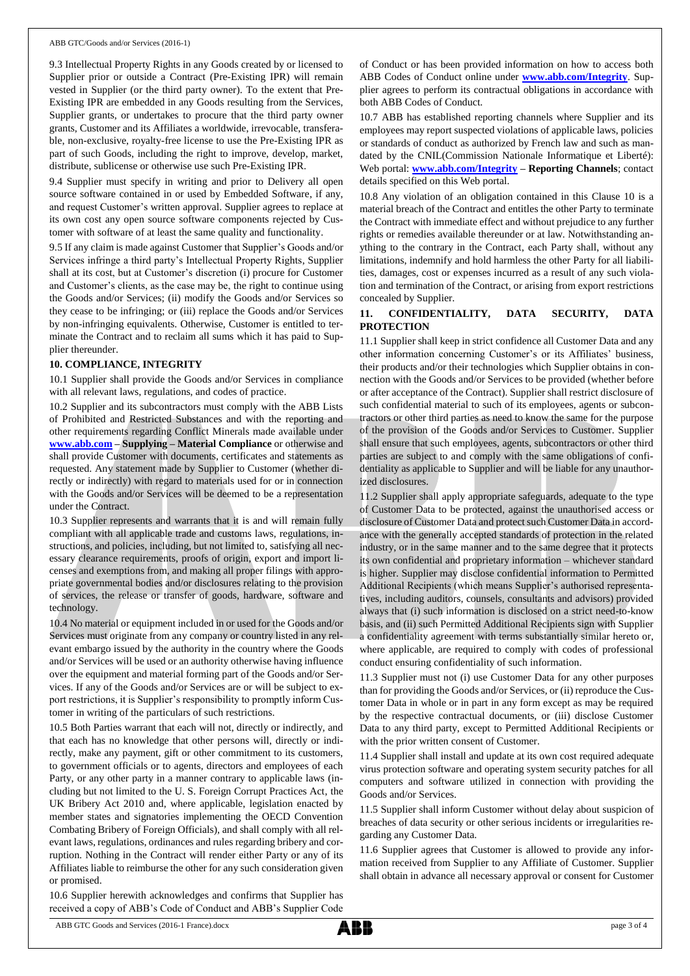#### ABB GTC/Goods and/or Services (2016-1)

9.3 Intellectual Property Rights in any Goods created by or licensed to Supplier prior or outside a Contract (Pre-Existing IPR) will remain vested in Supplier (or the third party owner). To the extent that Pre-Existing IPR are embedded in any Goods resulting from the Services, Supplier grants, or undertakes to procure that the third party owner grants, Customer and its Affiliates a worldwide, irrevocable, transferable, non-exclusive, royalty-free license to use the Pre-Existing IPR as part of such Goods, including the right to improve, develop, market, distribute, sublicense or otherwise use such Pre-Existing IPR.

9.4 Supplier must specify in writing and prior to Delivery all open source software contained in or used by Embedded Software, if any, and request Customer's written approval. Supplier agrees to replace at its own cost any open source software components rejected by Customer with software of at least the same quality and functionality.

9.5 If any claim is made against Customer that Supplier's Goods and/or Services infringe a third party's Intellectual Property Rights, Supplier shall at its cost, but at Customer's discretion (i) procure for Customer and Customer's clients, as the case may be, the right to continue using the Goods and/or Services; (ii) modify the Goods and/or Services so they cease to be infringing; or (iii) replace the Goods and/or Services by non-infringing equivalents. Otherwise, Customer is entitled to terminate the Contract and to reclaim all sums which it has paid to Supplier thereunder.

### **10. COMPLIANCE, INTEGRITY**

10.1 Supplier shall provide the Goods and/or Services in compliance with all relevant laws, regulations, and codes of practice.

10.2 Supplier and its subcontractors must comply with the ABB Lists of Prohibited and Restricted Substances and with the reporting and other requirements regarding Conflict Minerals made available under **[www.abb.com](http://www.abb.com/) – Supplying – Material Compliance** or otherwise and shall provide Customer with documents, certificates and statements as requested. Any statement made by Supplier to Customer (whether directly or indirectly) with regard to materials used for or in connection with the Goods and/or Services will be deemed to be a representation under the Contract.

10.3 Supplier represents and warrants that it is and will remain fully compliant with all applicable trade and customs laws, regulations, instructions, and policies, including, but not limited to, satisfying all necessary clearance requirements, proofs of origin, export and import licenses and exemptions from, and making all proper filings with appropriate governmental bodies and/or disclosures relating to the provision of services, the release or transfer of goods, hardware, software and technology.

10.4 No material or equipment included in or used for the Goods and/or Services must originate from any company or country listed in any relevant embargo issued by the authority in the country where the Goods and/or Services will be used or an authority otherwise having influence over the equipment and material forming part of the Goods and/or Services. If any of the Goods and/or Services are or will be subject to export restrictions, it is Supplier's responsibility to promptly inform Customer in writing of the particulars of such restrictions.

10.5 Both Parties warrant that each will not, directly or indirectly, and that each has no knowledge that other persons will, directly or indirectly, make any payment, gift or other commitment to its customers, to government officials or to agents, directors and employees of each Party, or any other party in a manner contrary to applicable laws (including but not limited to the U. S. Foreign Corrupt Practices Act, the UK Bribery Act 2010 and, where applicable, legislation enacted by member states and signatories implementing the OECD Convention Combating Bribery of Foreign Officials), and shall comply with all relevant laws, regulations, ordinances and rules regarding bribery and corruption. Nothing in the Contract will render either Party or any of its Affiliates liable to reimburse the other for any such consideration given or promised.

10.6 Supplier herewith acknowledges and confirms that Supplier has received a copy of ABB's Code of Conduct and ABB's Supplier Code of Conduct or has been provided information on how to access both ABB Codes of Conduct online under **[www.abb.com/Integrity](http://www.abb.com/Integrity)**. Supplier agrees to perform its contractual obligations in accordance with both ABB Codes of Conduct.

10.7 ABB has established reporting channels where Supplier and its employees may report suspected violations of applicable laws, policies or standards of conduct as authorized by French law and such as mandated by the CNIL(Commission Nationale Informatique et Liberté): Web portal: **[www.abb.com/Integrity](http://www.abb.com/Integrity) – Reporting Channels**; contact details specified on this Web portal.

10.8 Any violation of an obligation contained in this Clause 10 is a material breach of the Contract and entitles the other Party to terminate the Contract with immediate effect and without prejudice to any further rights or remedies available thereunder or at law. Notwithstanding anything to the contrary in the Contract, each Party shall, without any limitations, indemnify and hold harmless the other Party for all liabilities, damages, cost or expenses incurred as a result of any such violation and termination of the Contract, or arising from export restrictions concealed by Supplier.

# **11. CONFIDENTIALITY, DATA SECURITY, DATA PROTECTION**

11.1 Supplier shall keep in strict confidence all Customer Data and any other information concerning Customer's or its Affiliates' business, their products and/or their technologies which Supplier obtains in connection with the Goods and/or Services to be provided (whether before or after acceptance of the Contract). Supplier shall restrict disclosure of such confidential material to such of its employees, agents or subcontractors or other third parties as need to know the same for the purpose of the provision of the Goods and/or Services to Customer. Supplier shall ensure that such employees, agents, subcontractors or other third parties are subject to and comply with the same obligations of confidentiality as applicable to Supplier and will be liable for any unauthorized disclosures.

11.2 Supplier shall apply appropriate safeguards, adequate to the type of Customer Data to be protected, against the unauthorised access or disclosure of Customer Data and protect such Customer Data in accordance with the generally accepted standards of protection in the related industry, or in the same manner and to the same degree that it protects its own confidential and proprietary information – whichever standard is higher. Supplier may disclose confidential information to Permitted Additional Recipients (which means Supplier's authorised representatives, including auditors, counsels, consultants and advisors) provided always that (i) such information is disclosed on a strict need-to-know basis, and (ii) such Permitted Additional Recipients sign with Supplier a confidentiality agreement with terms substantially similar hereto or, where applicable, are required to comply with codes of professional conduct ensuring confidentiality of such information.

11.3 Supplier must not (i) use Customer Data for any other purposes than for providing the Goods and/or Services, or (ii) reproduce the Customer Data in whole or in part in any form except as may be required by the respective contractual documents, or (iii) disclose Customer Data to any third party, except to Permitted Additional Recipients or with the prior written consent of Customer.

11.4 Supplier shall install and update at its own cost required adequate virus protection software and operating system security patches for all computers and software utilized in connection with providing the Goods and/or Services.

11.5 Supplier shall inform Customer without delay about suspicion of breaches of data security or other serious incidents or irregularities regarding any Customer Data.

11.6 Supplier agrees that Customer is allowed to provide any information received from Supplier to any Affiliate of Customer. Supplier shall obtain in advance all necessary approval or consent for Customer